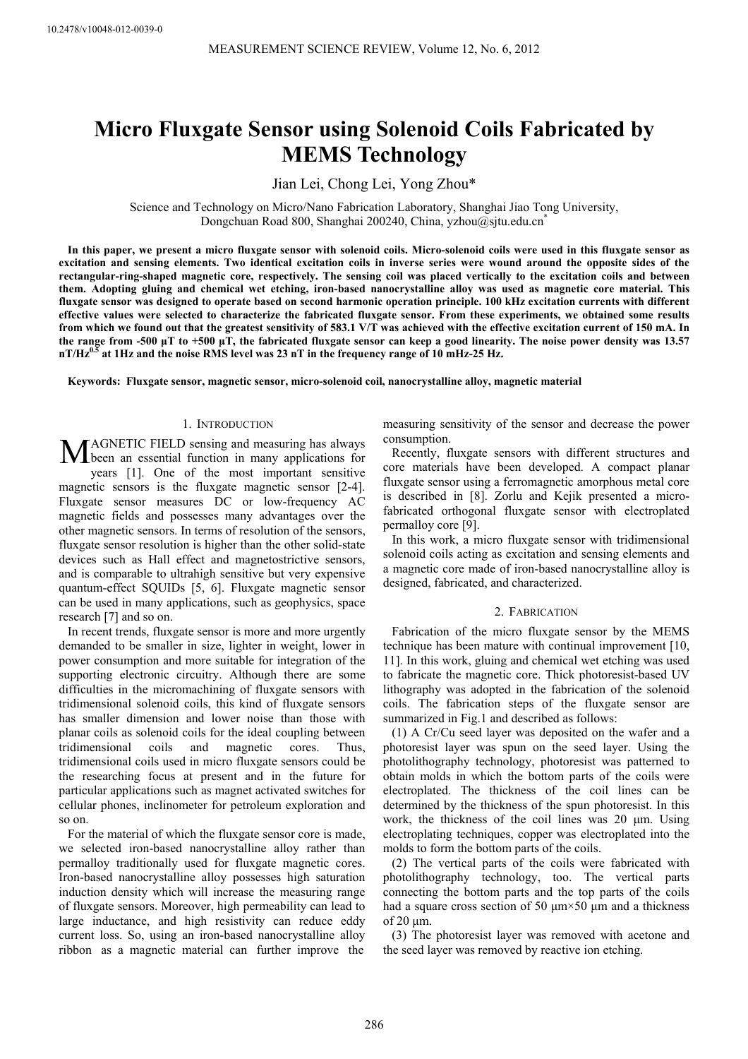# **Micro Fluxgate Sensor using Solenoid Coils Fabricated by MEMS Technology**

Jian Lei, Chong Lei, Yong Zhou\*

Science and Technology on Micro/Nano Fabrication Laboratory, Shanghai Jiao Tong University, Dongchuan Road 800, Shanghai 200240, China, yzhou $@$ sjtu.edu.cn<sup>\*</sup>

**In this paper, we present a micro fluxgate sensor with solenoid coils. Micro-solenoid coils were used in this fluxgate sensor as excitation and sensing elements. Two identical excitation coils in inverse series were wound around the opposite sides of the rectangular-ring-shaped magnetic core, respectively. The sensing coil was placed vertically to the excitation coils and between them. Adopting gluing and chemical wet etching, iron-based nanocrystalline alloy was used as magnetic core material. This fluxgate sensor was designed to operate based on second harmonic operation principle. 100 kHz excitation currents with different effective values were selected to characterize the fabricated fluxgate sensor. From these experiments, we obtained some results from which we found out that the greatest sensitivity of 583.1 V/T was achieved with the effective excitation current of 150 mA. In the range from -500 μT to +500 μT, the fabricated fluxgate sensor can keep a good linearity. The noise power density was 13.57 nT/Hz<sup>0.5</sup> at 1Hz and the noise RMS level was 23 nT in the frequency range of 10 mHz-25 Hz.** 

**Keywords: Fluxgate sensor, magnetic sensor, micro-solenoid coil, nanocrystalline alloy, magnetic material** 

## 1. INTRODUCTION

AGNETIC FIELD sensing and measuring has always MAGNETIC FIELD sensing and measuring has always<br>been an essential function in many applications for years [1]. One of the most important sensitive

magnetic sensors is the fluxgate magnetic sensor [2-4]. Fluxgate sensor measures DC or low-frequency AC magnetic fields and possesses many advantages over the other magnetic sensors. In terms of resolution of the sensors, fluxgate sensor resolution is higher than the other solid-state devices such as Hall effect and magnetostrictive sensors, and is comparable to ultrahigh sensitive but very expensive quantum-effect SQUIDs [5, 6]. Fluxgate magnetic sensor can be used in many applications, such as geophysics, space research [7] and so on.

In recent trends, fluxgate sensor is more and more urgently demanded to be smaller in size, lighter in weight, lower in power consumption and more suitable for integration of the supporting electronic circuitry. Although there are some difficulties in the micromachining of fluxgate sensors with tridimensional solenoid coils, this kind of fluxgate sensors has smaller dimension and lower noise than those with planar coils as solenoid coils for the ideal coupling between tridimensional coils and magnetic cores. Thus, tridimensional coils used in micro fluxgate sensors could be the researching focus at present and in the future for particular applications such as magnet activated switches for cellular phones, inclinometer for petroleum exploration and so on.

For the material of which the fluxgate sensor core is made, we selected iron-based nanocrystalline alloy rather than permalloy traditionally used for fluxgate magnetic cores. Iron-based nanocrystalline alloy possesses high saturation induction density which will increase the measuring range of fluxgate sensors. Moreover, high permeability can lead to large inductance, and high resistivity can reduce eddy current loss. So, using an iron-based nanocrystalline alloy ribbon as a magnetic material can further improve the

measuring sensitivity of the sensor and decrease the power consumption.

Recently, fluxgate sensors with different structures and core materials have been developed. A compact planar fluxgate sensor using a ferromagnetic amorphous metal core is described in [8]. Zorlu and Kejik presented a microfabricated orthogonal fluxgate sensor with electroplated permalloy core [9].

In this work, a micro fluxgate sensor with tridimensional solenoid coils acting as excitation and sensing elements and a magnetic core made of iron-based nanocrystalline alloy is designed, fabricated, and characterized.

### 2. FABRICATION

Fabrication of the micro fluxgate sensor by the MEMS technique has been mature with continual improvement [10, 11]. In this work, gluing and chemical wet etching was used to fabricate the magnetic core. Thick photoresist-based UV lithography was adopted in the fabrication of the solenoid coils. The fabrication steps of the fluxgate sensor are summarized in Fig.1 and described as follows:

(1) A Cr/Cu seed layer was deposited on the wafer and a photoresist layer was spun on the seed layer. Using the photolithography technology, photoresist was patterned to obtain molds in which the bottom parts of the coils were electroplated. The thickness of the coil lines can be determined by the thickness of the spun photoresist. In this work, the thickness of the coil lines was 20 μm. Using electroplating techniques, copper was electroplated into the molds to form the bottom parts of the coils.

(2) The vertical parts of the coils were fabricated with photolithography technology, too. The vertical parts connecting the bottom parts and the top parts of the coils had a square cross section of 50  $\mu$ m $\times$ 50  $\mu$ m and a thickness  $of 20 \mu m$ 

(3) The photoresist layer was removed with acetone and the seed layer was removed by reactive ion etching.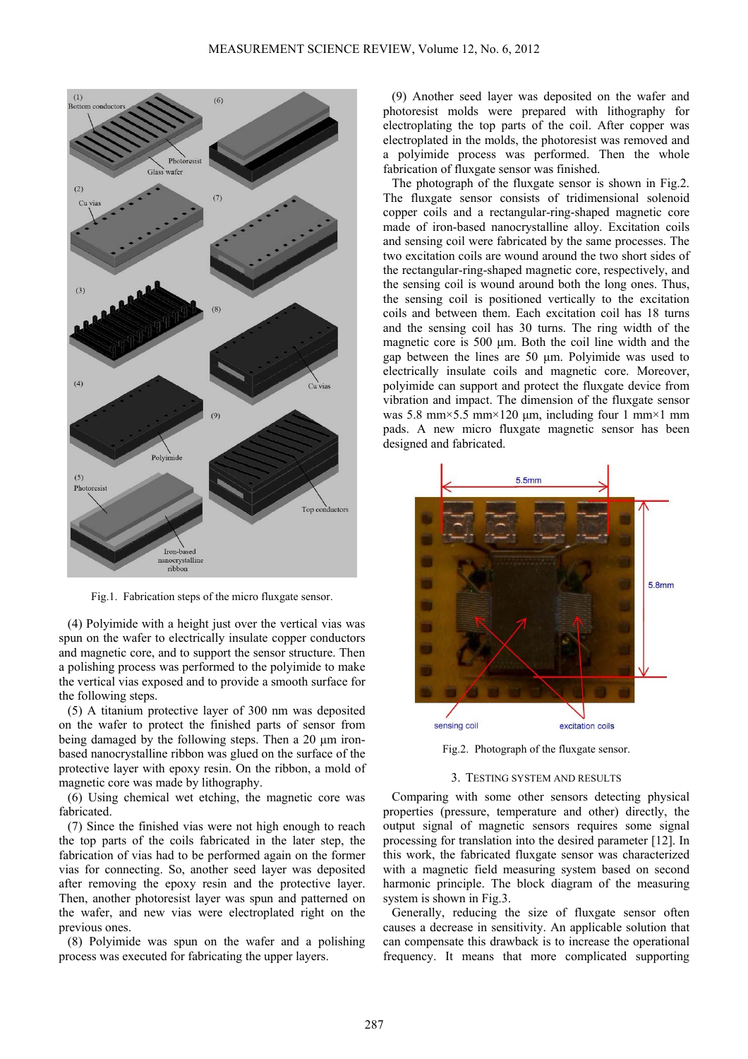

Fig.1. Fabrication steps of the micro fluxgate sensor.

(4) Polyimide with a height just over the vertical vias was spun on the wafer to electrically insulate copper conductors and magnetic core, and to support the sensor structure. Then a polishing process was performed to the polyimide to make the vertical vias exposed and to provide a smooth surface for the following steps.

(5) A titanium protective layer of 300 nm was deposited on the wafer to protect the finished parts of sensor from being damaged by the following steps. Then a 20 μm ironbased nanocrystalline ribbon was glued on the surface of the protective layer with epoxy resin. On the ribbon, a mold of magnetic core was made by lithography.

(6) Using chemical wet etching, the magnetic core was fabricated.

(7) Since the finished vias were not high enough to reach the top parts of the coils fabricated in the later step, the fabrication of vias had to be performed again on the former vias for connecting. So, another seed layer was deposited after removing the epoxy resin and the protective layer. Then, another photoresist layer was spun and patterned on the wafer, and new vias were electroplated right on the previous ones.

(8) Polyimide was spun on the wafer and a polishing process was executed for fabricating the upper layers.

(9) Another seed layer was deposited on the wafer and photoresist molds were prepared with lithography for electroplating the top parts of the coil. After copper was electroplated in the molds, the photoresist was removed and a polyimide process was performed. Then the whole fabrication of fluxgate sensor was finished.

The photograph of the fluxgate sensor is shown in Fig.2. The fluxgate sensor consists of tridimensional solenoid copper coils and a rectangular-ring-shaped magnetic core made of iron-based nanocrystalline alloy. Excitation coils and sensing coil were fabricated by the same processes. The two excitation coils are wound around the two short sides of the rectangular-ring-shaped magnetic core, respectively, and the sensing coil is wound around both the long ones. Thus, the sensing coil is positioned vertically to the excitation coils and between them. Each excitation coil has 18 turns and the sensing coil has 30 turns. The ring width of the magnetic core is 500 μm. Both the coil line width and the gap between the lines are 50 μm. Polyimide was used to electrically insulate coils and magnetic core. Moreover, polyimide can support and protect the fluxgate device from vibration and impact. The dimension of the fluxgate sensor was 5.8 mm×5.5 mm×120  $\mu$ m, including four 1 mm×1 mm pads. A new micro fluxgate magnetic sensor has been designed and fabricated.



Fig.2. Photograph of the fluxgate sensor.

## 3. TESTING SYSTEM AND RESULTS

Comparing with some other sensors detecting physical properties (pressure, temperature and other) directly, the output signal of magnetic sensors requires some signal processing for translation into the desired parameter [12]. In this work, the fabricated fluxgate sensor was characterized with a magnetic field measuring system based on second harmonic principle. The block diagram of the measuring system is shown in Fig.3.

Generally, reducing the size of fluxgate sensor often causes a decrease in sensitivity. An applicable solution that can compensate this drawback is to increase the operational frequency. It means that more complicated supporting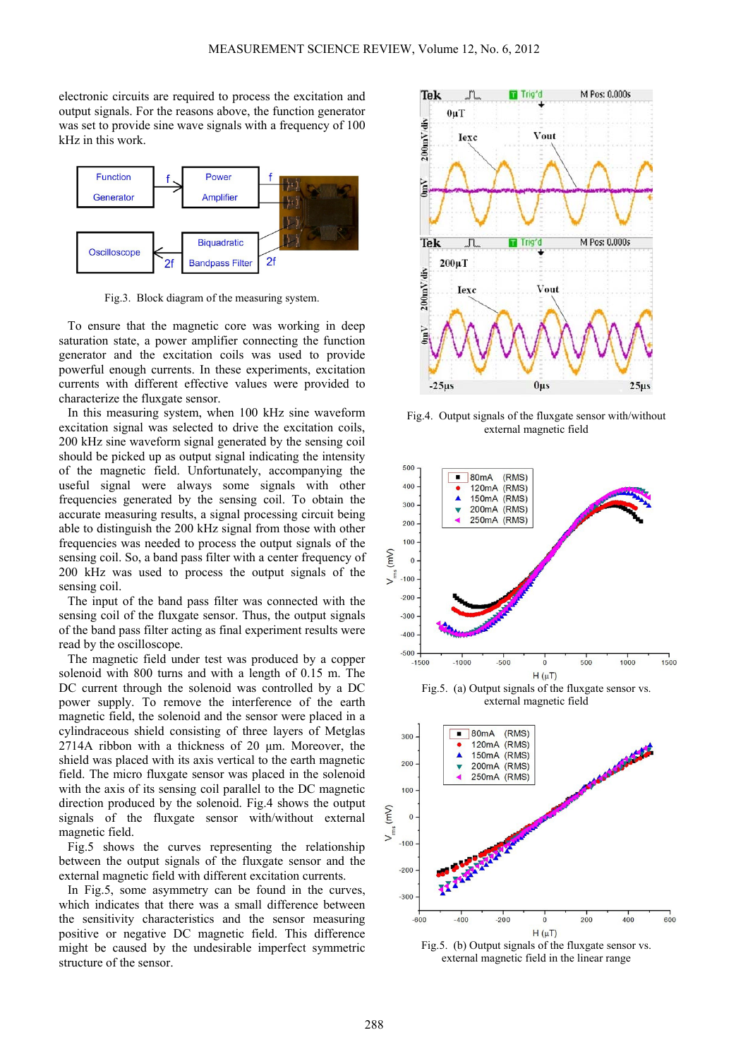electronic circuits are required to process the excitation and output signals. For the reasons above, the function generator was set to provide sine wave signals with a frequency of 100 kHz in this work.



Fig.3. Block diagram of the measuring system.

To ensure that the magnetic core was working in deep saturation state, a power amplifier connecting the function generator and the excitation coils was used to provide powerful enough currents. In these experiments, excitation currents with different effective values were provided to characterize the fluxgate sensor.

In this measuring system, when 100 kHz sine waveform excitation signal was selected to drive the excitation coils, 200 kHz sine waveform signal generated by the sensing coil should be picked up as output signal indicating the intensity of the magnetic field. Unfortunately, accompanying the useful signal were always some signals with other frequencies generated by the sensing coil. To obtain the accurate measuring results, a signal processing circuit being able to distinguish the 200 kHz signal from those with other frequencies was needed to process the output signals of the sensing coil. So, a band pass filter with a center frequency of 200 kHz was used to process the output signals of the sensing coil.

The input of the band pass filter was connected with the sensing coil of the fluxgate sensor. Thus, the output signals of the band pass filter acting as final experiment results were read by the oscilloscope.

The magnetic field under test was produced by a copper solenoid with 800 turns and with a length of 0.15 m. The DC current through the solenoid was controlled by a DC power supply. To remove the interference of the earth magnetic field, the solenoid and the sensor were placed in a cylindraceous shield consisting of three layers of Metglas 2714A ribbon with a thickness of 20 μm. Moreover, the shield was placed with its axis vertical to the earth magnetic field. The micro fluxgate sensor was placed in the solenoid with the axis of its sensing coil parallel to the DC magnetic direction produced by the solenoid. Fig.4 shows the output signals of the fluxgate sensor with/without external magnetic field.

Fig.5 shows the curves representing the relationship between the output signals of the fluxgate sensor and the external magnetic field with different excitation currents.

In Fig.5, some asymmetry can be found in the curves, which indicates that there was a small difference between the sensitivity characteristics and the sensor measuring positive or negative DC magnetic field. This difference might be caused by the undesirable imperfect symmetric structure of the sensor.



Fig.4. Output signals of the fluxgate sensor with/without external magnetic field





Fig.5. (b) Output signals of the fluxgate sensor vs. external magnetic field in the linear range